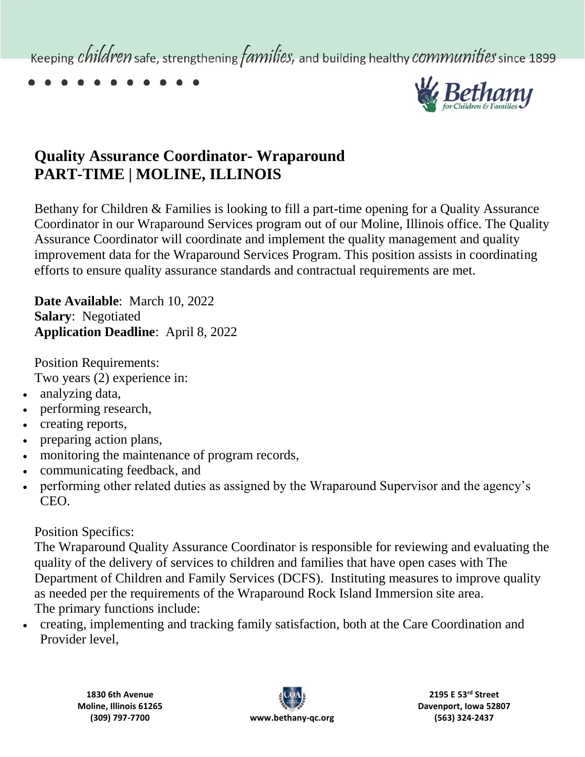Keeping *children* safe, strengthening *families*, and building healthy *communities* since 1899



## **Quality Assurance Coordinator- Wraparound PART-TIME | MOLINE, ILLINOIS**

Bethany for Children & Families is looking to fill a part-time opening for a Quality Assurance Coordinator in our Wraparound Services program out of our Moline, Illinois office. The Quality Assurance Coordinator will coordinate and implement the quality management and quality improvement data for the Wraparound Services Program. This position assists in coordinating efforts to ensure quality assurance standards and contractual requirements are met.

**Date Available**: March 10, 2022 **Salary**: Negotiated **Application Deadline**: April 8, 2022

Position Requirements: Two years (2) experience in:

- analyzing data,
- performing research,
- creating reports,
- preparing action plans,
- monitoring the maintenance of program records,
- communicating feedback, and
- performing other related duties as assigned by the Wraparound Supervisor and the agency's CEO.

## Position Specifics:

The Wraparound Quality Assurance Coordinator is responsible for reviewing and evaluating the quality of the delivery of services to children and families that have open cases with The Department of Children and Family Services (DCFS). Instituting measures to improve quality as needed per the requirements of the Wraparound Rock Island Immersion site area. The primary functions include:

 creating, implementing and tracking family satisfaction, both at the Care Coordination and Provider level,